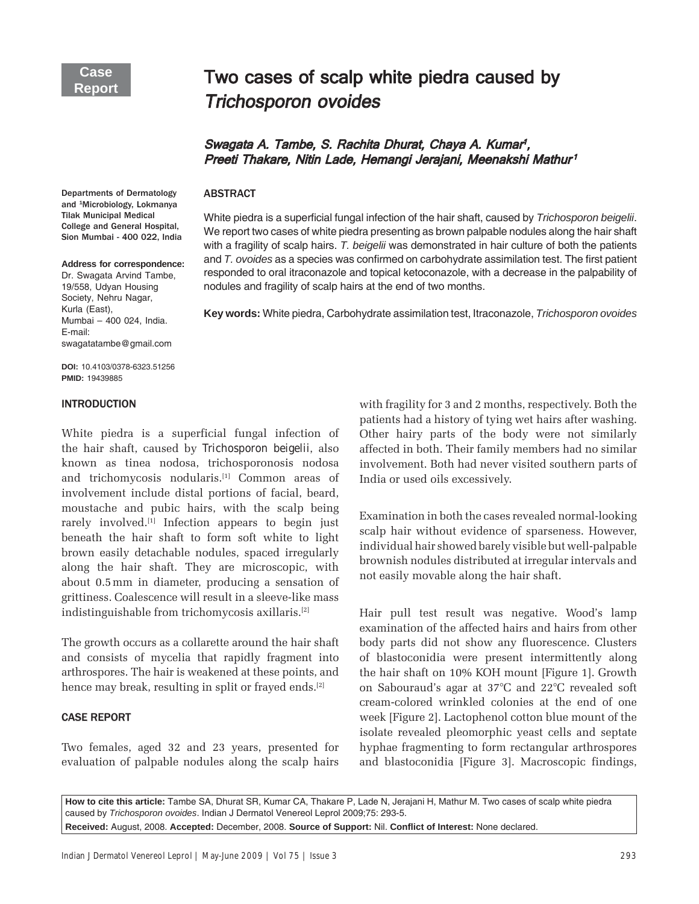# Two cases of scalp white piedra caused by **Trichosporon ovoides**

# Swagata A. Tambe, S. Rachita Dhurat, Chaya A. Kumar<sup>ı</sup>, Preeti Thakare, Nitin Lade, Hemangi Jerajani, Meenakshi Mathur<sup>1</sup>

#### **ABSTRACT**

and <sup>1</sup>Microbiology, Lokmanya Tilak Municipal Medical College and General Hospital, Sion Mumbai - 400 022, India

#### **Address for correspondence:**

Departments of Dermatology

Dr. Swagata Arvind Tambe, 19/558, Udyan Housing Society, Nehru Nagar, Kurla (East), Mumbai - 400 024, India. E-mail: swagatatambe@gmail.com

**DOI:** 10.4103/0378-6323.51256 **PMID:** 19439885

## **INTRODUCTION**

White piedra is a superficial fungal infection of the hair shaft, caused by *Trichosporon beigelii*, also known as tinea nodosa, trichosporonosis nodosa and trichomycosis nodularis.<sup>[1]</sup> Common areas of involvement include distal portions of facial, beard, moustache and pubic hairs, with the scalp being rarely involved.<sup>[1]</sup> Infection appears to begin just beneath the hair shaft to form soft white to light brown easily detachable nodules, spaced irregularly along the hair shaft. They are microscopic, with about 0.5 mm in diameter, producing a sensation of grittiness. Coalescence will result in a sleeve-like mass indistinguishable from trichomycosis axillaris.[2]

The growth occurs as a collarette around the hair shaft and consists of mycelia that rapidly fragment into arthrospores. The hair is weakened at these points, and hence may break, resulting in split or frayed ends.<sup>[2]</sup>

## **CASE REPORT**

Two females, aged 32 and 23 years, presented for evaluation of palpable nodules along the scalp hairs

White piedra is a superficial fungal infection of the hair shaft, caused by *Trichosporon beigelii*. We report two cases of white piedra presenting as brown palpable nodules along the hair shaft with a fragility of scalp hairs. *T. beigelii* was demonstrated in hair culture of both the patients and *T. ovoides* as a species was confirmed on carbohydrate assimilation test. The first patient responded to oral itraconazole and topical ketoconazole, with a decrease in the palpability of nodules and fragility of scalp hairs at the end of two months.

**Key words:** White piedra, Carbohydrate assimilation test, Itraconazole, *Trichosporon ovoides*

with fragility for 3 and 2 months, respectively. Both the patients had a history of tying wet hairs after washing. Other hairy parts of the body were not similarly affected in both. Their family members had no similar involvement. Both had never visited southern parts of India or used oils excessively.

Examination in both the cases revealed normal-looking scalp hair without evidence of sparseness. However, individual hair showed barely visible but well-palpable brownish nodules distributed at irregular intervals and not easily movable along the hair shaft.

Hair pull test result was negative. Wood's lamp examination of the affected hairs and hairs from other body parts did not show any fluorescence. Clusters of blastoconidia were present intermittently along the hair shaft on 10% KOH mount [Figure 1]. Growth on Sabouraudís agar at 37°C and 22°C revealed soft cream-colored wrinkled colonies at the end of one week [Figure 2]. Lactophenol cotton blue mount of the isolate revealed pleomorphic yeast cells and septate hyphae fragmenting to form rectangular arthrospores and blastoconidia [Figure 3]. Macroscopic findings,

**How to cite this article:** Tambe SA, Dhurat SR, Kumar CA, Thakare P, Lade N, Jerajani H, Mathur M. Two cases of scalp white piedra caused by *Trichosporon ovoides*. Indian J Dermatol Venereol Leprol 2009;75: 293-5.

**Received:** August, 2008. **Accepted:** December, 2008. **Source of Support:** Nil. **Confl ict of Interest:** None declared.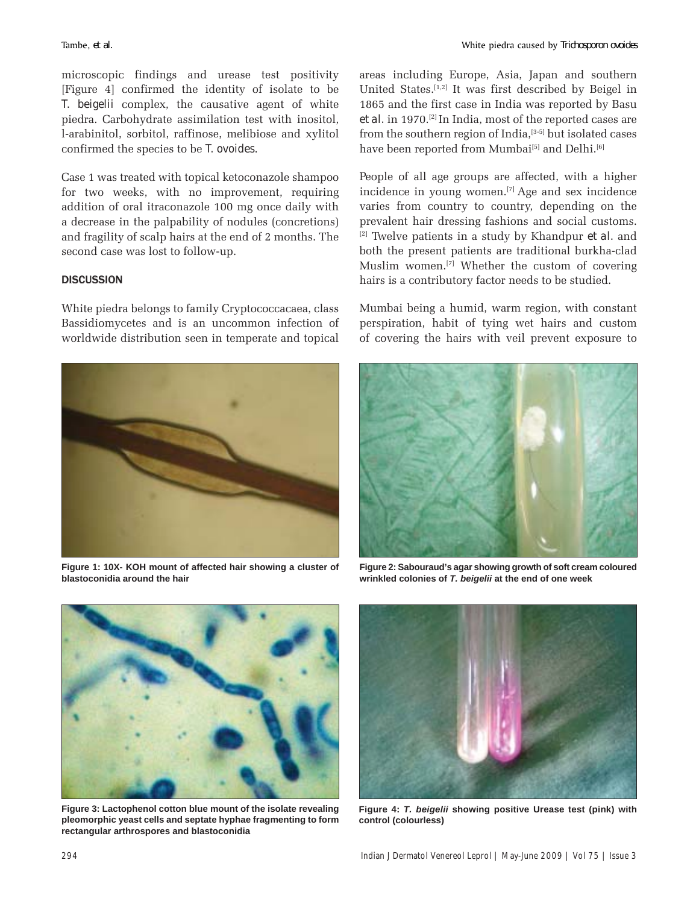microscopic findings and urease test positivity [Figure 4] confirmed the identity of isolate to be *T. beigelii* complex, the causative agent of white piedra. Carbohydrate assimilation test with inositol, l-arabinitol, sorbitol, raffinose, melibiose and xylitol confirmed the species to be *T. ovoides*.

Case 1 was treated with topical ketoconazole shampoo for two weeks, with no improvement, requiring addition of oral itraconazole 100 mg once daily with a decrease in the palpability of nodules (concretions) and fragility of scalp hairs at the end of 2 months. The second case was lost to follow-up.

## **DISCUSSION**

White piedra belongs to family Cryptococcacaea, class Bassidiomycetes and is an uncommon infection of worldwide distribution seen in temperate and topical



**Figure 1: 10X- KOH mount of affected hair showing a cluster of blastoconidia around the hair**

areas including Europe, Asia, Japan and southern United States.[1,2] It was first described by Beigel in 1865 and the first case in India was reported by Basu et al. in 1970.<sup>[2]</sup> In India, most of the reported cases are from the southern region of India,<sup>[3-5]</sup> but isolated cases have been reported from Mumbai<sup>[5]</sup> and Delhi.<sup>[6]</sup>

People of all age groups are affected, with a higher incidence in young women.[7] Age and sex incidence varies from country to country, depending on the prevalent hair dressing fashions and social customs. [2] Twelve patients in a study by Khandpur *et al.* and both the present patients are traditional burkha-clad Muslim women.[7] Whether the custom of covering hairs is a contributory factor needs to be studied.

Mumbai being a humid, warm region, with constant perspiration, habit of tying wet hairs and custom of covering the hairs with veil prevent exposure to



**Figure 2: Sabouraud's agar showing growth of soft cream coloured wrinkled colonies of** *T. beigelii* **at the end of one week**



**Figure 3: Lactophenol cotton blue mount of the isolate revealing pleomorphic yeast cells and septate hyphae fragmenting to form rectangular arthrospores and blastoconidia**



**Figure 4:** *T. beigelii* **showing positive Urease test (pink) with control (colourless)**